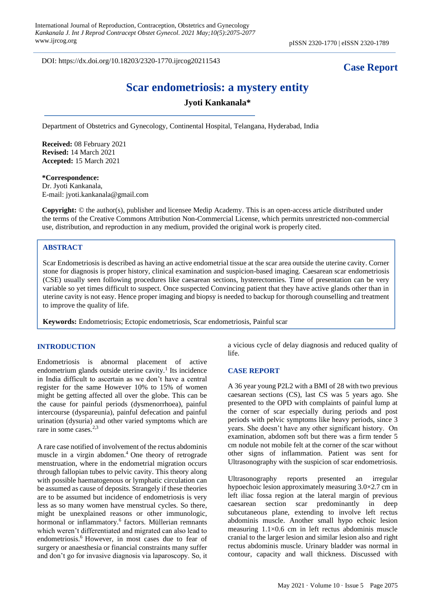DOI: https://dx.doi.org/10.18203/2320-1770.ijrcog20211543

## **Case Report**

# **Scar endometriosis: a mystery entity**

## **Jyoti Kankanala\***

Department of Obstetrics and Gynecology, Continental Hospital, Telangana, Hyderabad, India

**Received:** 08 February 2021 **Revised:** 14 March 2021 **Accepted:** 15 March 2021

## **\*Correspondence:**

Dr. Jyoti Kankanala, E-mail: jyoti.kankanala@gmail.com

**Copyright:** © the author(s), publisher and licensee Medip Academy. This is an open-access article distributed under the terms of the Creative Commons Attribution Non-Commercial License, which permits unrestricted non-commercial use, distribution, and reproduction in any medium, provided the original work is properly cited.

#### **ABSTRACT**

Scar Endometriosis is described as having an active endometrial tissue at the scar area outside the uterine cavity. Corner stone for diagnosis is proper history, clinical examination and suspicion-based imaging. Caesarean scar endometriosis (CSE) usually seen following procedures like caesarean sections, hysterectomies. Time of presentation can be very variable so yet times difficult to suspect. Once suspected Convincing patient that they have active glands other than in uterine cavity is not easy. Hence proper imaging and biopsy is needed to backup for thorough counselling and treatment to improve the quality of life.

**Keywords:** Endometriosis; Ectopic endometriosis, Scar endometriosis, Painful scar

#### **INTRODUCTION**

Endometriosis is abnormal placement of active endometrium glands outside uterine cavity. $\frac{1}{1}$  Its incidence in India difficult to ascertain as we don't have a central register for the same However 10% to 15% of women might be getting affected all over the globe. This can be the cause for painful periods (dysmenorrhoea), painful intercourse (dyspareunia), painful defecation and painful urination (dysuria) and other varied symptoms which are rare in some cases.2,3

A rare case notified of involvement of the rectus abdominis muscle in a virgin abdomen.<sup>4</sup> One theory of retrograde menstruation, where in the endometrial migration occurs through fallopian tubes to pelvic cavity. This theory along with possible haematogenous or lymphatic circulation can be assumed as cause of deposits. Strangely if these theories are to be assumed but incidence of endometriosis is very less as so many women have menstrual cycles. So there, might be unexplained reasons or other immunologic, hormonal or inflammatory.<sup>6</sup> factors. Müllerian remnants which weren't differentiated and migrated can also lead to endometriosis.<sup>6</sup> However, in most cases due to fear of surgery or anaesthesia or financial constraints many suffer and don't go for invasive diagnosis via laparoscopy. So, it a vicious cycle of delay diagnosis and reduced quality of life.

#### **CASE REPORT**

A 36 year young P2L2 with a BMI of 28 with two previous caesarean sections (CS), last CS was 5 years ago. She presented to the OPD with complaints of painful lump at the corner of scar especially during periods and post periods with pelvic symptoms like heavy periods, since 3 years. She doesn't have any other significant history. On examination, abdomen soft but there was a firm tender 5 cm nodule not mobile felt at the corner of the scar without other signs of inflammation. Patient was sent for Ultrasonography with the suspicion of scar endometriosis.

Ultrasonography reports presented an irregular hypoechoic lesion approximately measuring 3.0×2.7 cm in left iliac fossa region at the lateral margin of previous caesarean section scar predominantly in deep subcutaneous plane, extending to involve left rectus abdominis muscle. Another small hypo echoic lesion measuring 1.1×0.6 cm in left rectus abdominis muscle cranial to the larger lesion and similar lesion also and right rectus abdominis muscle. Urinary bladder was normal in contour, capacity and wall thickness. Discussed with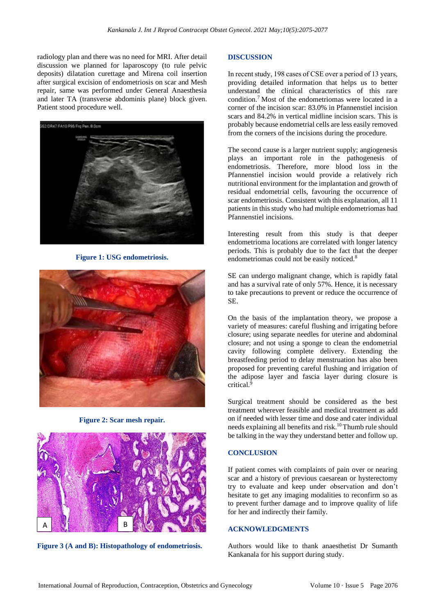radiology plan and there was no need for MRI. After detail discussion we planned for laparoscopy (to rule pelvic deposits) dilatation curettage and Mirena coil insertion after surgical excision of endometriosis on scar and Mesh repair, same was performed under General Anaesthesia and later TA (transverse abdominis plane) block given. Patient stood procedure well.



**Figure 1: USG endometriosis.**



**Figure 2: Scar mesh repair.**



**Figure 3 (A and B): Histopathology of endometriosis.**

#### **DISCUSSION**

In recent study, 198 cases of CSE over a period of 13 years, providing detailed information that helps us to better understand the clinical characteristics of this rare condition.<sup>7</sup> Most of the endometriomas were located in a corner of the incision scar: 83.0% in Pfannenstiel incision scars and 84.2% in vertical midline incision scars. This is probably because endometrial cells are less easily removed from the corners of the incisions during the procedure.

The second cause is a larger nutrient supply; angiogenesis plays an important role in the pathogenesis of endometriosis. Therefore, more blood loss in the Pfannenstiel incision would provide a relatively rich nutritional environment for the implantation and growth of residual endometrial cells, favouring the occurrence of scar endometriosis. Consistent with this explanation, all 11 patients in this study who had multiple endometriomas had Pfannenstiel incisions.

Interesting result from this study is that deeper endometrioma locations are correlated with longer latency periods. This is probably due to the fact that the deeper endometriomas could not be easily noticed.<sup>8</sup>

SE can undergo malignant change, which is rapidly fatal and has a survival rate of only 57%. Hence, it is necessary to take precautions to prevent or reduce the occurrence of SE.

On the basis of the implantation theory, we propose a variety of measures: careful flushing and irrigating before closure; using separate needles for uterine and abdominal closure; and not using a sponge to clean the endometrial cavity following complete delivery. Extending the breastfeeding period to delay menstruation has also been proposed for preventing careful flushing and irrigation of the adipose layer and fascia layer during closure is critical.<sup>9</sup>

Surgical treatment should be considered as the best treatment wherever feasible and medical treatment as add on if needed with lesser time and dose and cater individual needs explaining all benefits and risk.<sup>10</sup>Thumb rule should be talking in the way they understand better and follow up.

## **CONCLUSION**

If patient comes with complaints of pain over or nearing scar and a history of previous caesarean or hysterectomy try to evaluate and keep under observation and don't hesitate to get any imaging modalities to reconfirm so as to prevent further damage and to improve quality of life for her and indirectly their family.

#### **ACKNOWLEDGMENTS**

Authors would like to thank anaesthetist Dr Sumanth Kankanala for his support during study.